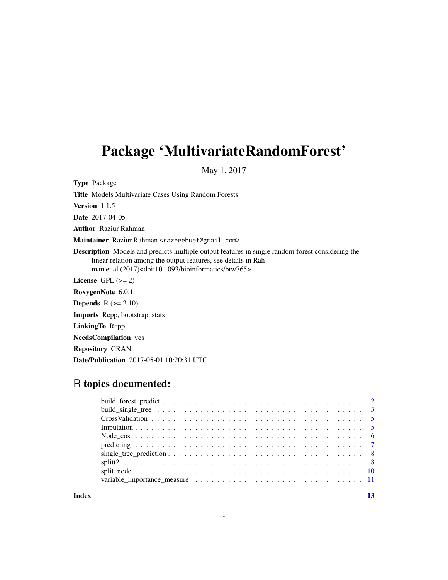## Package 'MultivariateRandomForest'

May 1, 2017

Type Package

Title Models Multivariate Cases Using Random Forests

Version 1.1.5

Date 2017-04-05

Author Raziur Rahman

Maintainer Raziur Rahman <razeeebuet@gmail.com>

Description Models and predicts multiple output features in single random forest considering the linear relation among the output features, see details in Rahman et al (2017)<doi:10.1093/bioinformatics/btw765>.

License GPL  $(>= 2)$ 

RoxygenNote 6.0.1

**Depends**  $R$  ( $>= 2.10$ )

Imports Rcpp, bootstrap, stats

LinkingTo Rcpp

NeedsCompilation yes

Repository CRAN

Date/Publication 2017-05-01 10:20:31 UTC

## R topics documented:

**Index** [13](#page-12-0)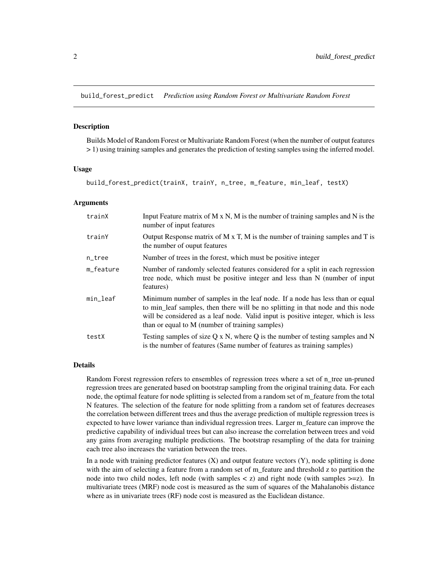<span id="page-1-0"></span>build\_forest\_predict *Prediction using Random Forest or Multivariate Random Forest*

#### **Description**

Builds Model of Random Forest or Multivariate Random Forest (when the number of output features > 1) using training samples and generates the prediction of testing samples using the inferred model.

#### Usage

build\_forest\_predict(trainX, trainY, n\_tree, m\_feature, min\_leaf, testX)

#### Arguments

| trainX    | Input Feature matrix of M $x$ N, M is the number of training samples and N is the<br>number of input features                                                                                                                                                                                           |
|-----------|---------------------------------------------------------------------------------------------------------------------------------------------------------------------------------------------------------------------------------------------------------------------------------------------------------|
| trainY    | Output Response matrix of $M \times T$ , M is the number of training samples and T is<br>the number of ouput features                                                                                                                                                                                   |
| $n$ _tree | Number of trees in the forest, which must be positive integer                                                                                                                                                                                                                                           |
| m_feature | Number of randomly selected features considered for a split in each regression<br>tree node, which must be positive integer and less than N (number of input<br>features)                                                                                                                               |
| min_leaf  | Minimum number of samples in the leaf node. If a node has less than or equal<br>to min_leaf samples, then there will be no splitting in that node and this node<br>will be considered as a leaf node. Valid input is positive integer, which is less<br>than or equal to M (number of training samples) |
| testX     | Testing samples of size $Q \times N$ , where Q is the number of testing samples and N<br>is the number of features (Same number of features as training samples)                                                                                                                                        |

#### Details

Random Forest regression refers to ensembles of regression trees where a set of n\_tree un-pruned regression trees are generated based on bootstrap sampling from the original training data. For each node, the optimal feature for node splitting is selected from a random set of m\_feature from the total N features. The selection of the feature for node splitting from a random set of features decreases the correlation between different trees and thus the average prediction of multiple regression trees is expected to have lower variance than individual regression trees. Larger m\_feature can improve the predictive capability of individual trees but can also increase the correlation between trees and void any gains from averaging multiple predictions. The bootstrap resampling of the data for training each tree also increases the variation between the trees.

In a node with training predictor features  $(X)$  and output feature vectors  $(Y)$ , node splitting is done with the aim of selecting a feature from a random set of m\_feature and threshold z to partition the node into two child nodes, left node (with samples  $\langle z \rangle$  and right node (with samples  $\langle z \rangle$ ). In multivariate trees (MRF) node cost is measured as the sum of squares of the Mahalanobis distance where as in univariate trees (RF) node cost is measured as the Euclidean distance.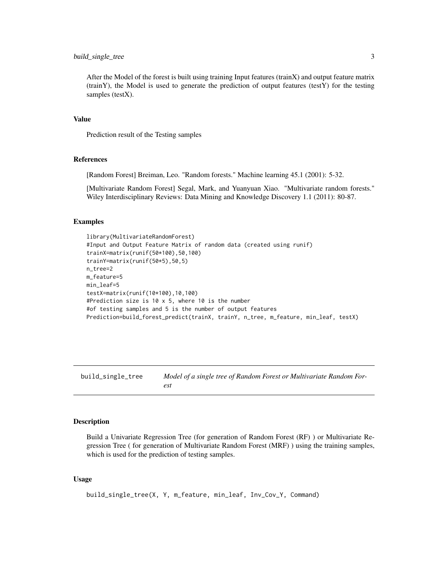## <span id="page-2-0"></span>build\_single\_tree 3

After the Model of the forest is built using training Input features (trainX) and output feature matrix (trainY), the Model is used to generate the prediction of output features (testY) for the testing samples (testX).

#### Value

Prediction result of the Testing samples

## References

[Random Forest] Breiman, Leo. "Random forests." Machine learning 45.1 (2001): 5-32.

[Multivariate Random Forest] Segal, Mark, and Yuanyuan Xiao. "Multivariate random forests." Wiley Interdisciplinary Reviews: Data Mining and Knowledge Discovery 1.1 (2011): 80-87.

## Examples

```
library(MultivariateRandomForest)
#Input and Output Feature Matrix of random data (created using runif)
trainX=matrix(runif(50*100),50,100)
trainY=matrix(runif(50*5),50,5)
n_tree=2
m_feature=5
min_leaf=5
testX=matrix(runif(10*100),10,100)
#Prediction size is 10 x 5, where 10 is the number
#of testing samples and 5 is the number of output features
Prediction=build_forest_predict(trainX, trainY, n_tree, m_feature, min_leaf, testX)
```
build\_single\_tree *Model of a single tree of Random Forest or Multivariate Random Forest*

## Description

Build a Univariate Regression Tree (for generation of Random Forest (RF) ) or Multivariate Regression Tree ( for generation of Multivariate Random Forest (MRF) ) using the training samples, which is used for the prediction of testing samples.

#### Usage

build\_single\_tree(X, Y, m\_feature, min\_leaf, Inv\_Cov\_Y, Command)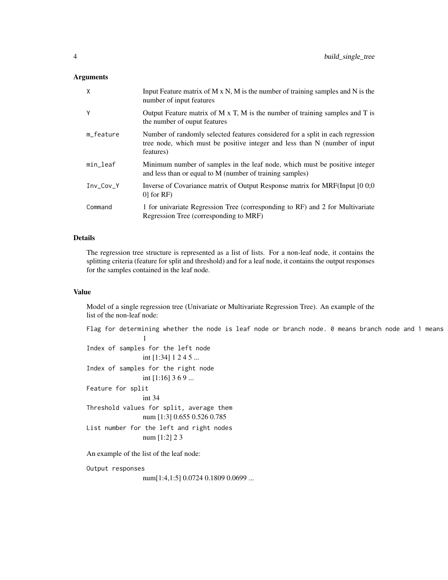#### **Arguments**

| X           | Input Feature matrix of $M \times N$ , M is the number of training samples and $N$ is the<br>number of input features                                                     |
|-------------|---------------------------------------------------------------------------------------------------------------------------------------------------------------------------|
| Y           | Output Feature matrix of M x T, M is the number of training samples and T is<br>the number of ouput features                                                              |
| m_feature   | Number of randomly selected features considered for a split in each regression<br>tree node, which must be positive integer and less than N (number of input<br>features) |
| min_leaf    | Minimum number of samples in the leaf node, which must be positive integer<br>and less than or equal to M (number of training samples)                                    |
| $Inv_Cov_Y$ | Inverse of Covariance matrix of Output Response matrix for MRF(Input [0 0;0<br>$0$ for RF)                                                                                |
| Command     | 1 for univariate Regression Tree (corresponding to RF) and 2 for Multivariate<br>Regression Tree (corresponding to MRF)                                                   |

## Details

The regression tree structure is represented as a list of lists. For a non-leaf node, it contains the splitting criteria (feature for split and threshold) and for a leaf node, it contains the output responses for the samples contained in the leaf node.

## Value

Model of a single regression tree (Univariate or Multivariate Regression Tree). An example of the list of the non-leaf node:

Flag for determining whether the node is leaf node or branch node. 0 means branch node and 1 means 1 Index of samples for the left node int [1:34] 1 2 4 5 ... Index of samples for the right node int [1:16] 3 6 9 ... Feature for split int 34 Threshold values for split, average them

num [1:3] 0.655 0.526 0.785

```
List number for the left and right nodes
                num [1:2] 2 3
```
An example of the list of the leaf node:

Output responses

num[1:4,1:5] 0.0724 0.1809 0.0699 ...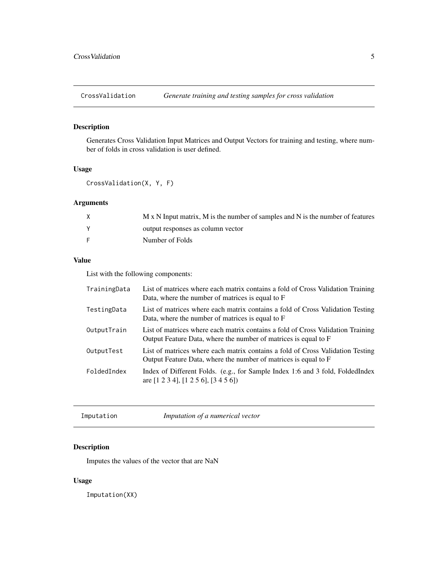<span id="page-4-0"></span>

## Description

Generates Cross Validation Input Matrices and Output Vectors for training and testing, where number of folds in cross validation is user defined.

## Usage

CrossValidation(X, Y, F)

## Arguments

| M x N Input matrix, M is the number of samples and N is the number of features |
|--------------------------------------------------------------------------------|
| output responses as column vector                                              |
| Number of Folds                                                                |

## Value

List with the following components:

| TrainingData | List of matrices where each matrix contains a fold of Cross Validation Training<br>Data, where the number of matrices is equal to F                |
|--------------|----------------------------------------------------------------------------------------------------------------------------------------------------|
| TestingData  | List of matrices where each matrix contains a fold of Cross Validation Testing<br>Data, where the number of matrices is equal to F                 |
| OutputTrain  | List of matrices where each matrix contains a fold of Cross Validation Training<br>Output Feature Data, where the number of matrices is equal to F |
| OutputTest   | List of matrices where each matrix contains a fold of Cross Validation Testing<br>Output Feature Data, where the number of matrices is equal to F  |
| FoldedIndex  | Index of Different Folds. (e.g., for Sample Index 1:6 and 3 fold, FoldedIndex<br>are $[1\ 2\ 3\ 4]$ , $[1\ 2\ 5\ 6]$ , $[3\ 4\ 5\ 6]$              |

Imputation *Imputation of a numerical vector*

## Description

Imputes the values of the vector that are NaN

## Usage

Imputation(XX)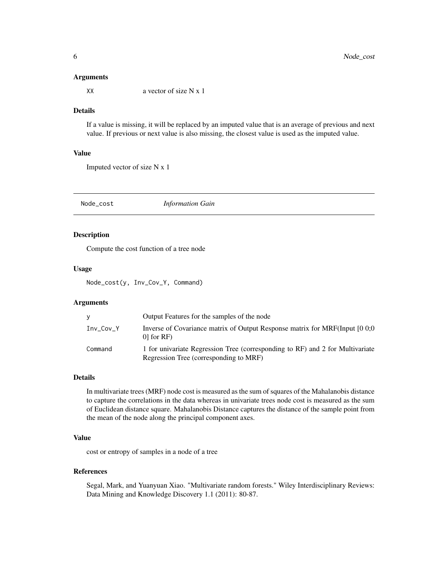#### <span id="page-5-0"></span>Arguments

 $\angle$  XX a vector of size N x 1

## **Details**

If a value is missing, it will be replaced by an imputed value that is an average of previous and next value. If previous or next value is also missing, the closest value is used as the imputed value.

## Value

Imputed vector of size N x 1

Node\_cost *Information Gain*

#### Description

Compute the cost function of a tree node

#### Usage

Node\_cost(y, Inv\_Cov\_Y, Command)

## Arguments

| v           | Output Features for the samples of the node                                                                             |
|-------------|-------------------------------------------------------------------------------------------------------------------------|
| $Inv_Cov_Y$ | Inverse of Covariance matrix of Output Response matrix for MRF(Input [0 0;0<br>$01$ for RF)                             |
| Command     | 1 for univariate Regression Tree (corresponding to RF) and 2 for Multivariate<br>Regression Tree (corresponding to MRF) |

## Details

In multivariate trees (MRF) node cost is measured as the sum of squares of the Mahalanobis distance to capture the correlations in the data whereas in univariate trees node cost is measured as the sum of Euclidean distance square. Mahalanobis Distance captures the distance of the sample point from the mean of the node along the principal component axes.

## Value

cost or entropy of samples in a node of a tree

## References

Segal, Mark, and Yuanyuan Xiao. "Multivariate random forests." Wiley Interdisciplinary Reviews: Data Mining and Knowledge Discovery 1.1 (2011): 80-87.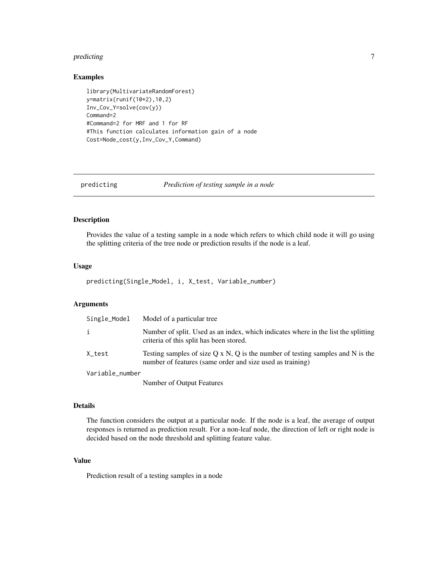#### <span id="page-6-0"></span>predicting the contract of the contract of the contract of the contract of the contract of the contract of the contract of the contract of the contract of the contract of the contract of the contract of the contract of the

## Examples

```
library(MultivariateRandomForest)
y=matrix(runif(10*2),10,2)
Inv_Cov_Y=solve(cov(y))
Command=2
#Command=2 for MRF and 1 for RF
#This function calculates information gain of a node
Cost=Node_cost(y,Inv_Cov_Y,Command)
```

| predicting | Prediction of testing sample in a node |
|------------|----------------------------------------|
|            |                                        |

## Description

Provides the value of a testing sample in a node which refers to which child node it will go using the splitting criteria of the tree node or prediction results if the node is a leaf.

## Usage

predicting(Single\_Model, i, X\_test, Variable\_number)

## Arguments

| Single_Model    | Model of a particular tree                                                                                                                            |
|-----------------|-------------------------------------------------------------------------------------------------------------------------------------------------------|
| i               | Number of split. Used as an index, which indicates where in the list the splitting<br>criteria of this split has been stored.                         |
| X_test          | Testing samples of size $Q \times N$ , $Q$ is the number of testing samples and N is the<br>number of features (same order and size used as training) |
| Variable_number |                                                                                                                                                       |
|                 | $\mathbf{N}$ and $\mathbf{r}$ and $\mathbf{r}$ $\mathbf{r}$ and $\mathbf{r}$ $\mathbf{r}$ and $\mathbf{r}$                                            |

Number of Output Features

#### Details

The function considers the output at a particular node. If the node is a leaf, the average of output responses is returned as prediction result. For a non-leaf node, the direction of left or right node is decided based on the node threshold and splitting feature value.

## Value

Prediction result of a testing samples in a node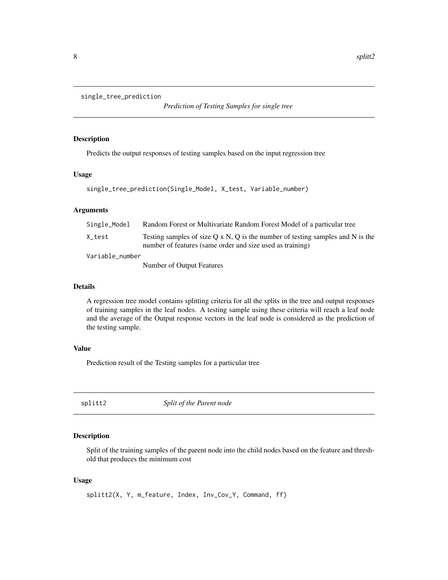```
single_tree_prediction
```
*Prediction of Testing Samples for single tree*

## Description

Predicts the output responses of testing samples based on the input regression tree

## Usage

```
single_tree_prediction(Single_Model, X_test, Variable_number)
```
## Arguments

| Single_Model    | Random Forest or Multivariate Random Forest Model of a particular tree                                                                              |
|-----------------|-----------------------------------------------------------------------------------------------------------------------------------------------------|
| X test          | Testing samples of size $O \times N$ , O is the number of testing samples and N is the<br>number of features (same order and size used as training) |
| Variable_number |                                                                                                                                                     |
|                 | Number of Output Features                                                                                                                           |

## Details

A regression tree model contains splitting criteria for all the splits in the tree and output responses of training samples in the leaf nodes. A testing sample using these criteria will reach a leaf node and the average of the Output response vectors in the leaf node is considered as the prediction of the testing sample.

## Value

Prediction result of the Testing samples for a particular tree

splitt2 *Split of the Parent node*

## Description

Split of the training samples of the parent node into the child nodes based on the feature and threshold that produces the minimum cost

## Usage

splitt2(X, Y, m\_feature, Index, Inv\_Cov\_Y, Command, ff)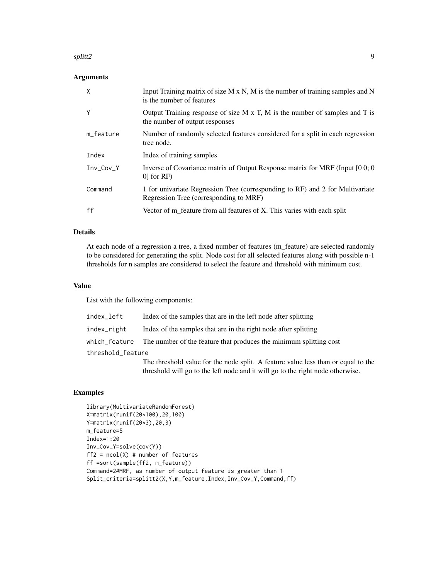#### splitt2 9 and 9 and 9 and 9 and 9 and 9 and 9 and 9 and 9 and 9 and 9 and 9 and 9 and 9 and 9 and 9 and 9 and 9

## Arguments

| X           | Input Training matrix of size $M \times N$ , M is the number of training samples and N<br>is the number of features     |
|-------------|-------------------------------------------------------------------------------------------------------------------------|
| Υ           | Output Training response of size M x T, M is the number of samples and T is<br>the number of output responses           |
| m_feature   | Number of randomly selected features considered for a split in each regression<br>tree node.                            |
| Index       | Index of training samples                                                                                               |
| $Inv_Cov_Y$ | Inverse of Covariance matrix of Output Response matrix for MRF (Input [0 0; 0]<br>$0$ for RF)                           |
| Command     | 1 for univariate Regression Tree (corresponding to RF) and 2 for Multivariate<br>Regression Tree (corresponding to MRF) |
| ff          | Vector of m_feature from all features of X. This varies with each split                                                 |

## Details

At each node of a regression a tree, a fixed number of features (m\_feature) are selected randomly to be considered for generating the split. Node cost for all selected features along with possible n-1 thresholds for n samples are considered to select the feature and threshold with minimum cost.

## Value

List with the following components:

| index_left        | Index of the samples that are in the left node after splitting                   |
|-------------------|----------------------------------------------------------------------------------|
| index_right       | Index of the samples that are in the right node after splitting                  |
|                   | which feature The number of the feature that produces the minimum splitting cost |
| threshold_feature |                                                                                  |
|                   | The threshold value for the node split. A feeture value loss than or age         |

The threshold value for the node split. A feature value less than or equal to the threshold will go to the left node and it will go to the right node otherwise.

#### Examples

```
library(MultivariateRandomForest)
X=matrix(runif(20*100),20,100)
Y=matrix(runif(20*3),20,3)
m_feature=5
Index=1:20
Inv_Cov_Y=solve(cov(Y))
ff2 = ncol(X) # number of features
ff =sort(sample(ff2, m_feature))
Command=2#MRF, as number of output feature is greater than 1
Split_criteria=splitt2(X,Y,m_feature,Index,Inv_Cov_Y,Command,ff)
```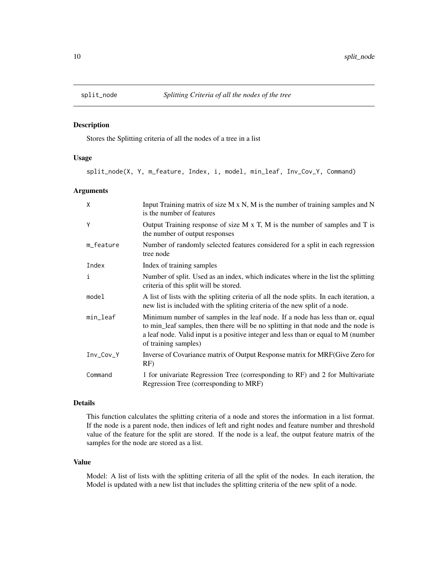<span id="page-9-0"></span>

## Description

Stores the Splitting criteria of all the nodes of a tree in a list

#### Usage

split\_node(X, Y, m\_feature, Index, i, model, min\_leaf, Inv\_Cov\_Y, Command)

#### Arguments

| X         | Input Training matrix of size $M \times N$ , M is the number of training samples and N<br>is the number of features                                                                                                                                                              |
|-----------|----------------------------------------------------------------------------------------------------------------------------------------------------------------------------------------------------------------------------------------------------------------------------------|
| Y         | Output Training response of size M x T, M is the number of samples and T is<br>the number of output responses                                                                                                                                                                    |
| m_feature | Number of randomly selected features considered for a split in each regression<br>tree node                                                                                                                                                                                      |
| Index     | Index of training samples                                                                                                                                                                                                                                                        |
| i         | Number of split. Used as an index, which indicates where in the list the splitting<br>criteria of this split will be stored.                                                                                                                                                     |
| model     | A list of lists with the spliting criteria of all the node splits. In each iteration, a<br>new list is included with the spliting criteria of the new split of a node.                                                                                                           |
| min_leaf  | Minimum number of samples in the leaf node. If a node has less than or, equal<br>to min_leaf samples, then there will be no splitting in that node and the node is<br>a leaf node. Valid input is a positive integer and less than or equal to M (number<br>of training samples) |
| Inv_Cov_Y | Inverse of Covariance matrix of Output Response matrix for MRF(Give Zero for<br>RF)                                                                                                                                                                                              |
| Command   | 1 for univariate Regression Tree (corresponding to RF) and 2 for Multivariate<br>Regression Tree (corresponding to MRF)                                                                                                                                                          |

## Details

This function calculates the splitting criteria of a node and stores the information in a list format. If the node is a parent node, then indices of left and right nodes and feature number and threshold value of the feature for the split are stored. If the node is a leaf, the output feature matrix of the samples for the node are stored as a list.

#### Value

Model: A list of lists with the splitting criteria of all the split of the nodes. In each iteration, the Model is updated with a new list that includes the splitting criteria of the new split of a node.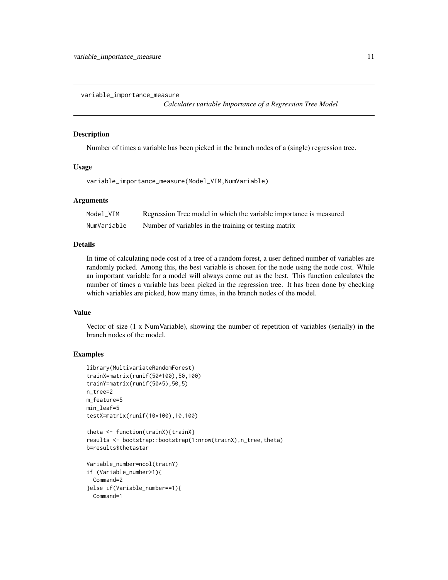<span id="page-10-0"></span>variable\_importance\_measure

*Calculates variable Importance of a Regression Tree Model*

#### Description

Number of times a variable has been picked in the branch nodes of a (single) regression tree.

#### Usage

variable\_importance\_measure(Model\_VIM,NumVariable)

## Arguments

| Model VIM   | Regression Tree model in which the variable importance is measured |
|-------------|--------------------------------------------------------------------|
| NumVariable | Number of variables in the training or testing matrix              |

## Details

In time of calculating node cost of a tree of a random forest, a user defined number of variables are randomly picked. Among this, the best variable is chosen for the node using the node cost. While an important variable for a model will always come out as the best. This function calculates the number of times a variable has been picked in the regression tree. It has been done by checking which variables are picked, how many times, in the branch nodes of the model.

#### Value

Vector of size (1 x NumVariable), showing the number of repetition of variables (serially) in the branch nodes of the model.

## Examples

```
library(MultivariateRandomForest)
trainX=matrix(runif(50*100),50,100)
trainY=matrix(runif(50*5),50,5)
n_tree=2
m_feature=5
min_leaf=5
testX=matrix(runif(10*100),10,100)
theta <- function(trainX){trainX}
results <- bootstrap::bootstrap(1:nrow(trainX),n_tree,theta)
```

```
b=results$thetastar
```

```
Variable_number=ncol(trainY)
if (Variable_number>1){
 Command=2
}else if(Variable_number==1){
 Command=1
```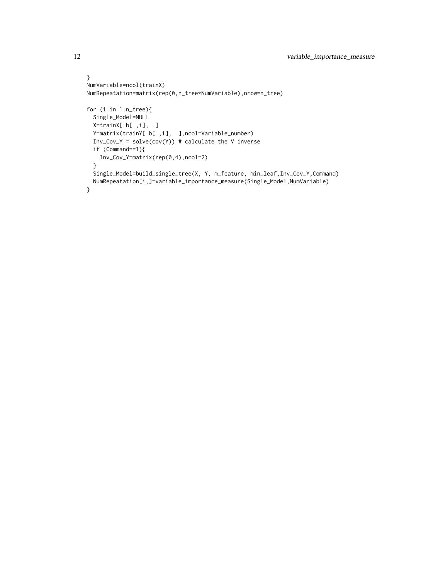```
}
NumVariable=ncol(trainX)
NumRepeatation=matrix(rep(0,n_tree*NumVariable),nrow=n_tree)
for (i in 1:n_tree){
  Single_Model=NULL
  X=trainX[ b[ ,i], ]
  Y=matrix(trainY[ b[ ,i], ],ncol=Variable_number)
  Inv_Cov_Y = solve(cov(Y)) # calculate the V inverse
  if (Command==1){
   Inv_Cov_Y=matrix(rep(0,4),ncol=2)
  }
  Single_Model=build_single_tree(X, Y, m_feature, min_leaf,Inv_Cov_Y,Command)
  NumRepeatation[i,]=variable_importance_measure(Single_Model,NumVariable)
}
```